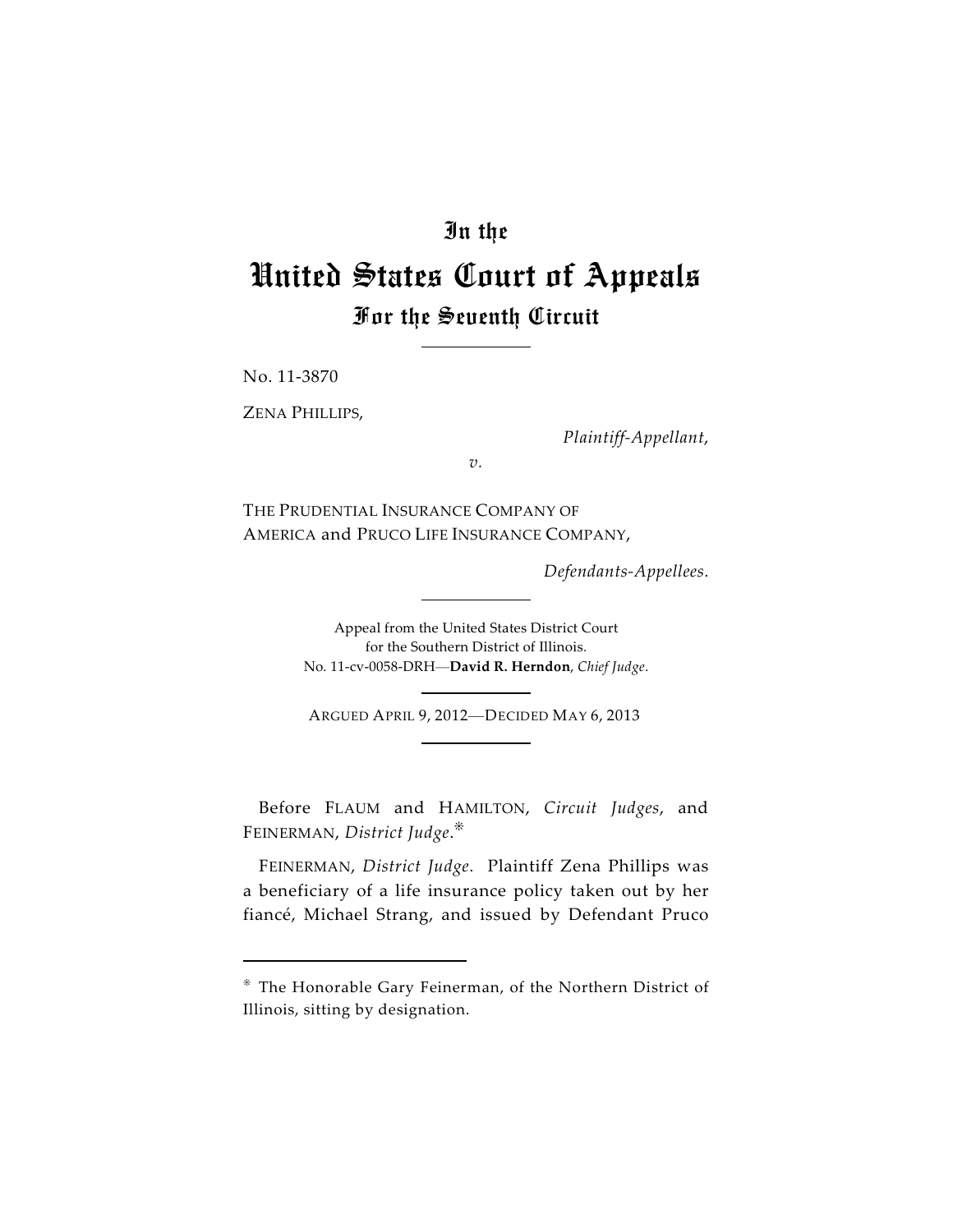## In the

# United States Court of Appeals For the Seventh Circuit

No. 11-3870

ZENA PHILLIPS,

*Plaintiff-Appellant*,

*v.*

THE PRUDENTIAL INSURANCE COMPANY OF AMERICA and PRUCO LIFE INSURANCE COMPANY,

*Defendants-Appellees*.

Appeal from the United States District Court for the Southern District of Illinois. No. 11-cv-0058-DRH—**David R. Herndon**, *Chief Judge*.

ARGUED APRIL 9, 2012—DECIDED MAY 6, 2013

Before FLAUM and HAMILTON, *Circuit Judges*, and FEINERMAN, *District Judge*.

FEINERMAN, *District Judge*. Plaintiff Zena Phillips was a beneficiary of a life insurance policy taken out by her fiancé, Michael Strang, and issued by Defendant Pruco

The Honorable Gary Feinerman, of the Northern District of Illinois, sitting by designation.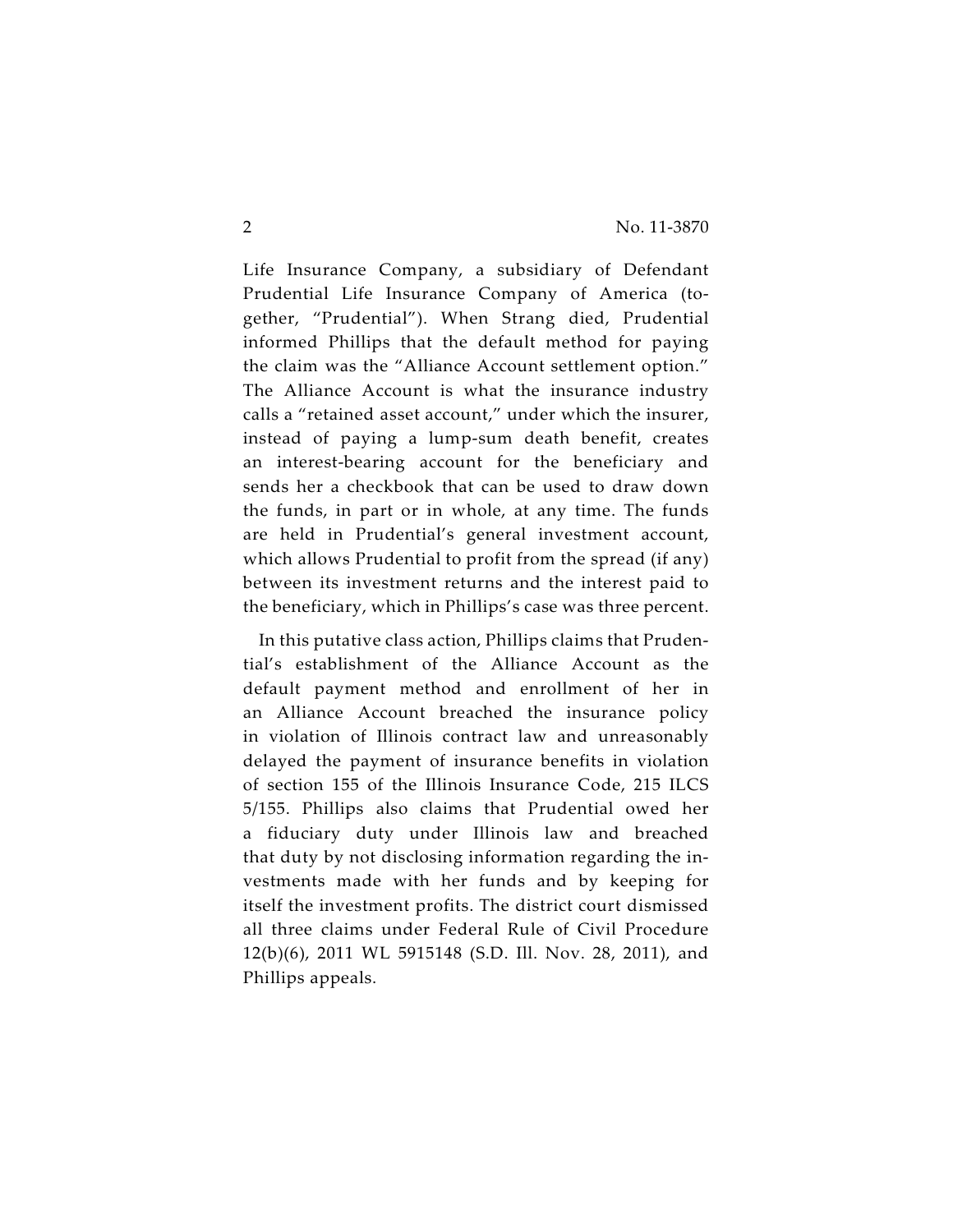Life Insurance Company, a subsidiary of Defendant Prudential Life Insurance Company of America (together, "Prudential"). When Strang died, Prudential informed Phillips that the default method for paying the claim was the "Alliance Account settlement option." The Alliance Account is what the insurance industry calls a "retained asset account," under which the insurer, instead of paying a lump-sum death benefit, creates an interest-bearing account for the beneficiary and sends her a checkbook that can be used to draw down the funds, in part or in whole, at any time. The funds are held in Prudential's general investment account, which allows Prudential to profit from the spread (if any) between its investment returns and the interest paid to the beneficiary, which in Phillips's case was three percent.

In this putative class action, Phillips claims that Prudential's establishment of the Alliance Account as the default payment method and enrollment of her in an Alliance Account breached the insurance policy in violation of Illinois contract law and unreasonably delayed the payment of insurance benefits in violation of section 155 of the Illinois Insurance Code, 215 ILCS 5/155. Phillips also claims that Prudential owed her a fiduciary duty under Illinois law and breached that duty by not disclosing information regarding the investments made with her funds and by keeping for itself the investment profits. The district court dismissed all three claims under Federal Rule of Civil Procedure 12(b)(6), 2011 WL 5915148 (S.D. Ill. Nov. 28, 2011), and Phillips appeals.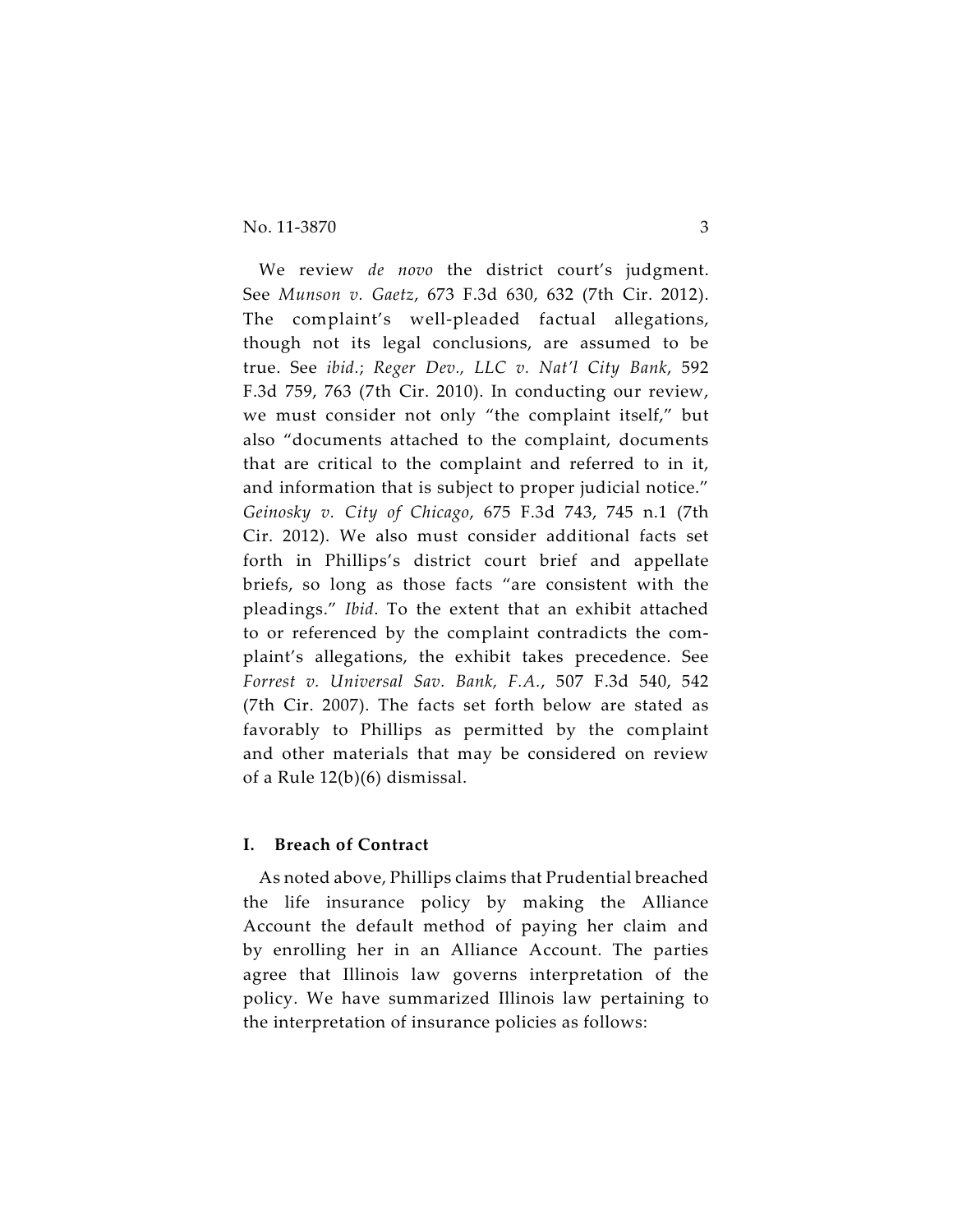#### No. 11-3870 3

We review *de novo* the district court's judgment. See *Munson v. Gaetz*, 673 F.3d 630, 632 (7th Cir. 2012). The complaint's well-pleaded factual allegations, though not its legal conclusions, are assumed to be true. See *ibid.*; *Reger Dev., LLC v. Nat'l City Bank*, 592 F.3d 759, 763 (7th Cir. 2010). In conducting our review, we must consider not only "the complaint itself," but also "documents attached to the complaint, documents that are critical to the complaint and referred to in it, and information that is subject to proper judicial notice." *Geinosky v. City of Chicago*, 675 F.3d 743, 745 n.1 (7th Cir. 2012). We also must consider additional facts set forth in Phillips's district court brief and appellate briefs, so long as those facts "are consistent with the pleadings." *Ibid*. To the extent that an exhibit attached to or referenced by the complaint contradicts the complaint's allegations, the exhibit takes precedence. See *Forrest v. Universal Sav. Bank, F.A.*, 507 F.3d 540, 542 (7th Cir. 2007). The facts set forth below are stated as favorably to Phillips as permitted by the complaint and other materials that may be considered on review of a Rule 12(b)(6) dismissal.

#### **I. Breach of Contract**

As noted above, Phillips claims that Prudential breached the life insurance policy by making the Alliance Account the default method of paying her claim and by enrolling her in an Alliance Account. The parties agree that Illinois law governs interpretation of the policy. We have summarized Illinois law pertaining to the interpretation of insurance policies as follows: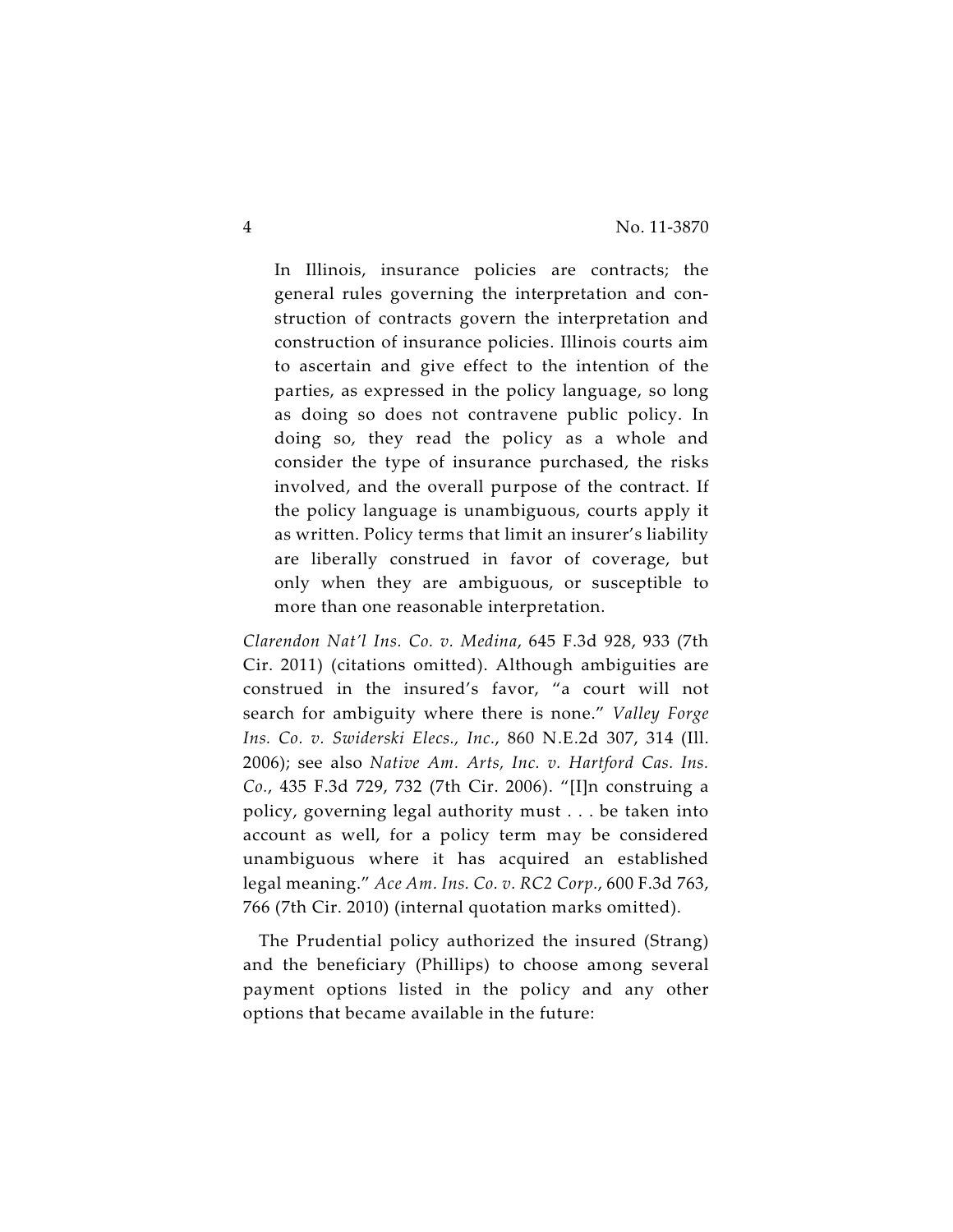In Illinois, insurance policies are contracts; the general rules governing the interpretation and construction of contracts govern the interpretation and construction of insurance policies. Illinois courts aim to ascertain and give effect to the intention of the parties, as expressed in the policy language, so long as doing so does not contravene public policy. In doing so, they read the policy as a whole and consider the type of insurance purchased, the risks involved, and the overall purpose of the contract. If the policy language is unambiguous, courts apply it as written. Policy terms that limit an insurer's liability are liberally construed in favor of coverage, but only when they are ambiguous, or susceptible to more than one reasonable interpretation.

*Clarendon Nat'l Ins. Co. v. Medina*, 645 F.3d 928, 933 (7th Cir. 2011) (citations omitted). Although ambiguities are construed in the insured's favor, "a court will not search for ambiguity where there is none." *Valley Forge Ins. Co. v. Swiderski Elecs., Inc.*, 860 N.E.2d 307, 314 (Ill. 2006); see also *Native Am. Arts, Inc. v. Hartford Cas. Ins. Co.*, 435 F.3d 729, 732 (7th Cir. 2006). "[I]n construing a policy, governing legal authority must . . . be taken into account as well, for a policy term may be considered unambiguous where it has acquired an established legal meaning." *Ace Am. Ins. Co. v. RC2 Corp.*, 600 F.3d 763, 766 (7th Cir. 2010) (internal quotation marks omitted).

The Prudential policy authorized the insured (Strang) and the beneficiary (Phillips) to choose among several payment options listed in the policy and any other options that became available in the future: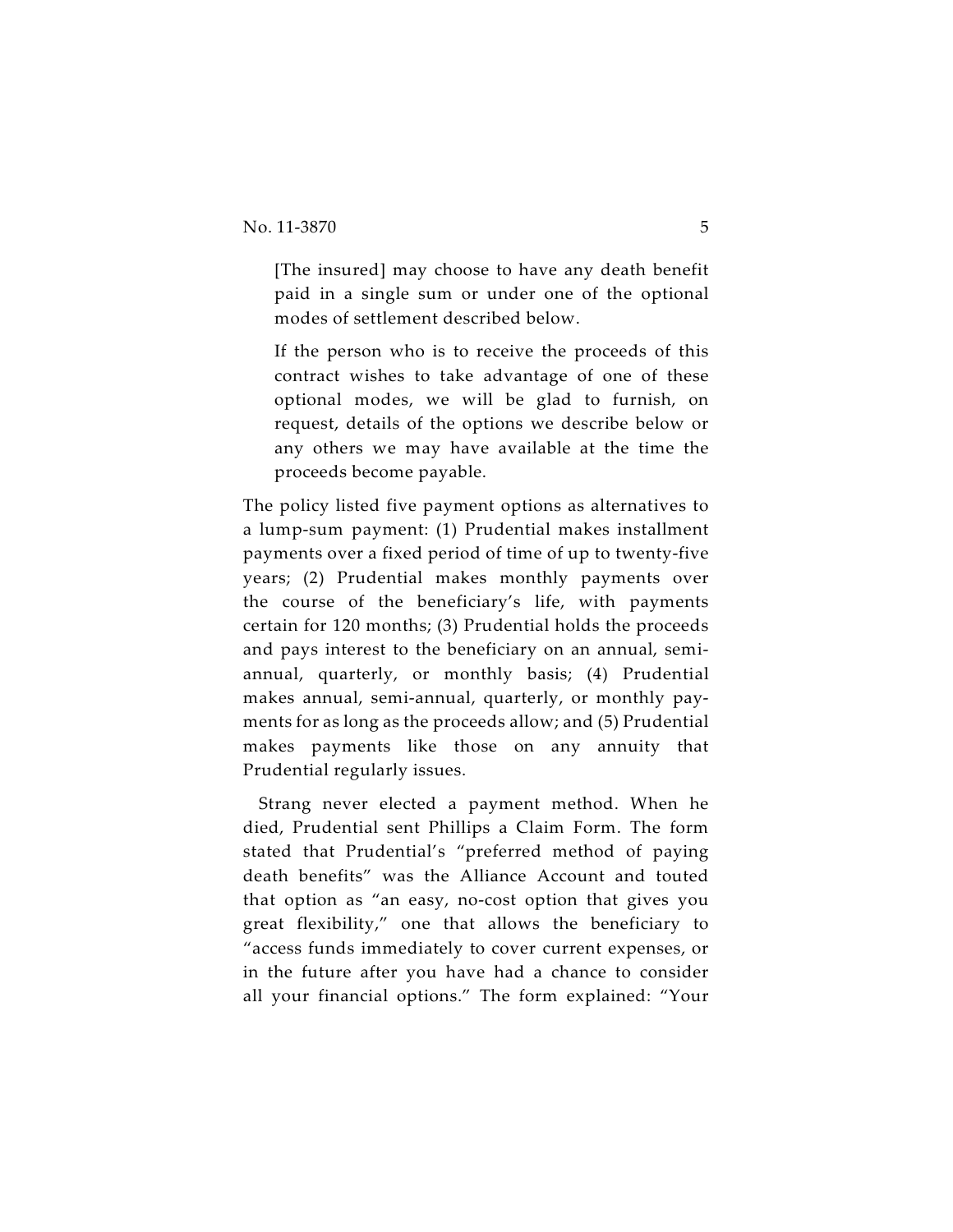[The insured] may choose to have any death benefit paid in a single sum or under one of the optional modes of settlement described below.

If the person who is to receive the proceeds of this contract wishes to take advantage of one of these optional modes, we will be glad to furnish, on request, details of the options we describe below or any others we may have available at the time the proceeds become payable.

The policy listed five payment options as alternatives to a lump-sum payment: (1) Prudential makes installment payments over a fixed period of time of up to twenty-five years; (2) Prudential makes monthly payments over the course of the beneficiary's life, with payments certain for 120 months; (3) Prudential holds the proceeds and pays interest to the beneficiary on an annual, semiannual, quarterly, or monthly basis; (4) Prudential makes annual, semi-annual, quarterly, or monthly payments for as long as the proceeds allow; and (5) Prudential makes payments like those on any annuity that Prudential regularly issues.

Strang never elected a payment method. When he died, Prudential sent Phillips a Claim Form. The form stated that Prudential's "preferred method of paying death benefits" was the Alliance Account and touted that option as "an easy, no-cost option that gives you great flexibility," one that allows the beneficiary to "access funds immediately to cover current expenses, or in the future after you have had a chance to consider all your financial options." The form explained: "Your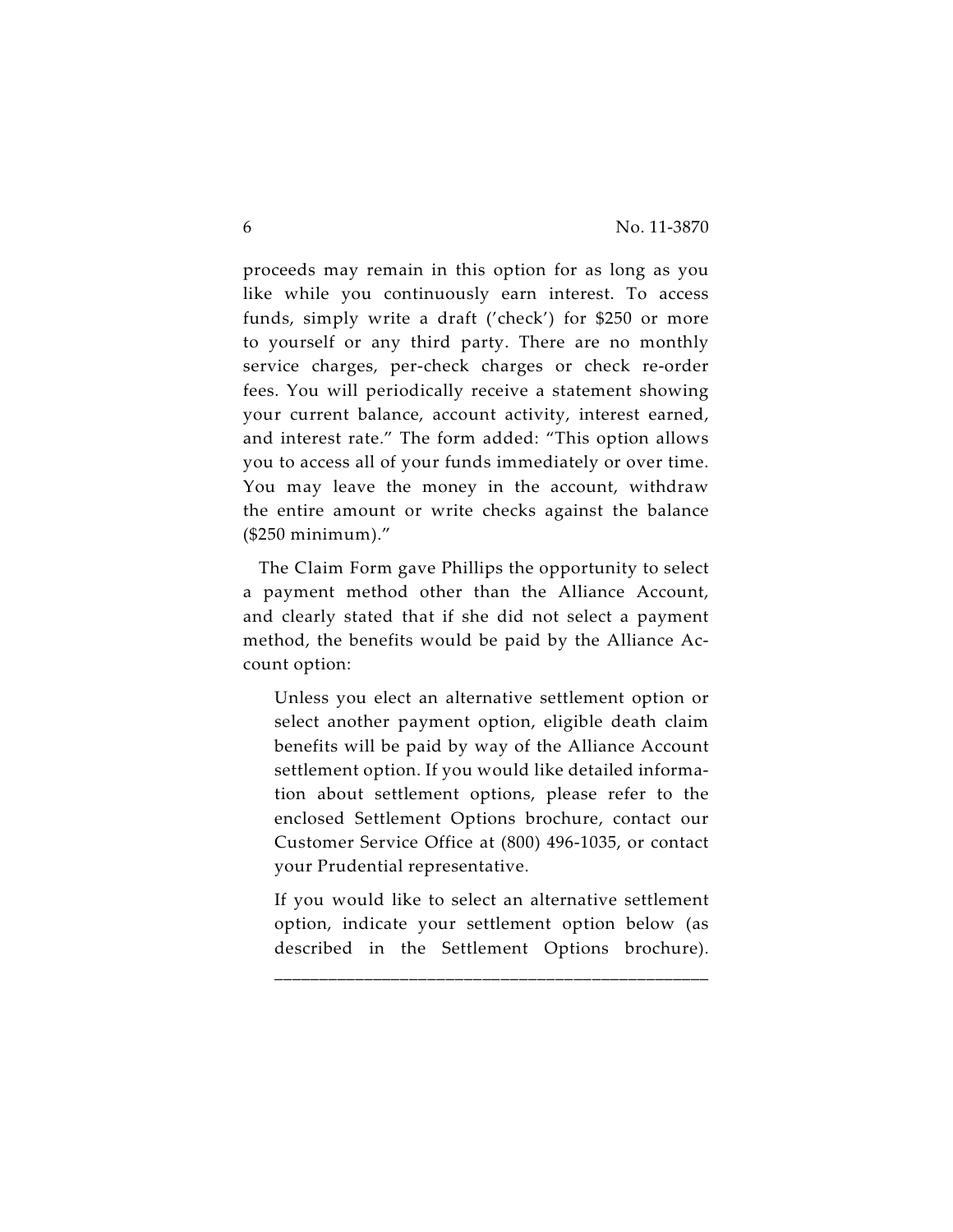proceeds may remain in this option for as long as you like while you continuously earn interest. To access funds, simply write a draft ('check') for \$250 or more to yourself or any third party. There are no monthly service charges, per-check charges or check re-order fees. You will periodically receive a statement showing your current balance, account activity, interest earned, and interest rate." The form added: "This option allows you to access all of your funds immediately or over time. You may leave the money in the account, withdraw the entire amount or write checks against the balance (\$250 minimum)."

The Claim Form gave Phillips the opportunity to select a payment method other than the Alliance Account, and clearly stated that if she did not select a payment method, the benefits would be paid by the Alliance Account option:

Unless you elect an alternative settlement option or select another payment option, eligible death claim benefits will be paid by way of the Alliance Account settlement option. If you would like detailed information about settlement options, please refer to the enclosed Settlement Options brochure, contact our Customer Service Office at (800) 496-1035, or contact your Prudential representative.

If you would like to select an alternative settlement option, indicate your settlement option below (as described in the Settlement Options brochure).

\_\_\_\_\_\_\_\_\_\_\_\_\_\_\_\_\_\_\_\_\_\_\_\_\_\_\_\_\_\_\_\_\_\_\_\_\_\_\_\_\_\_\_\_\_\_\_\_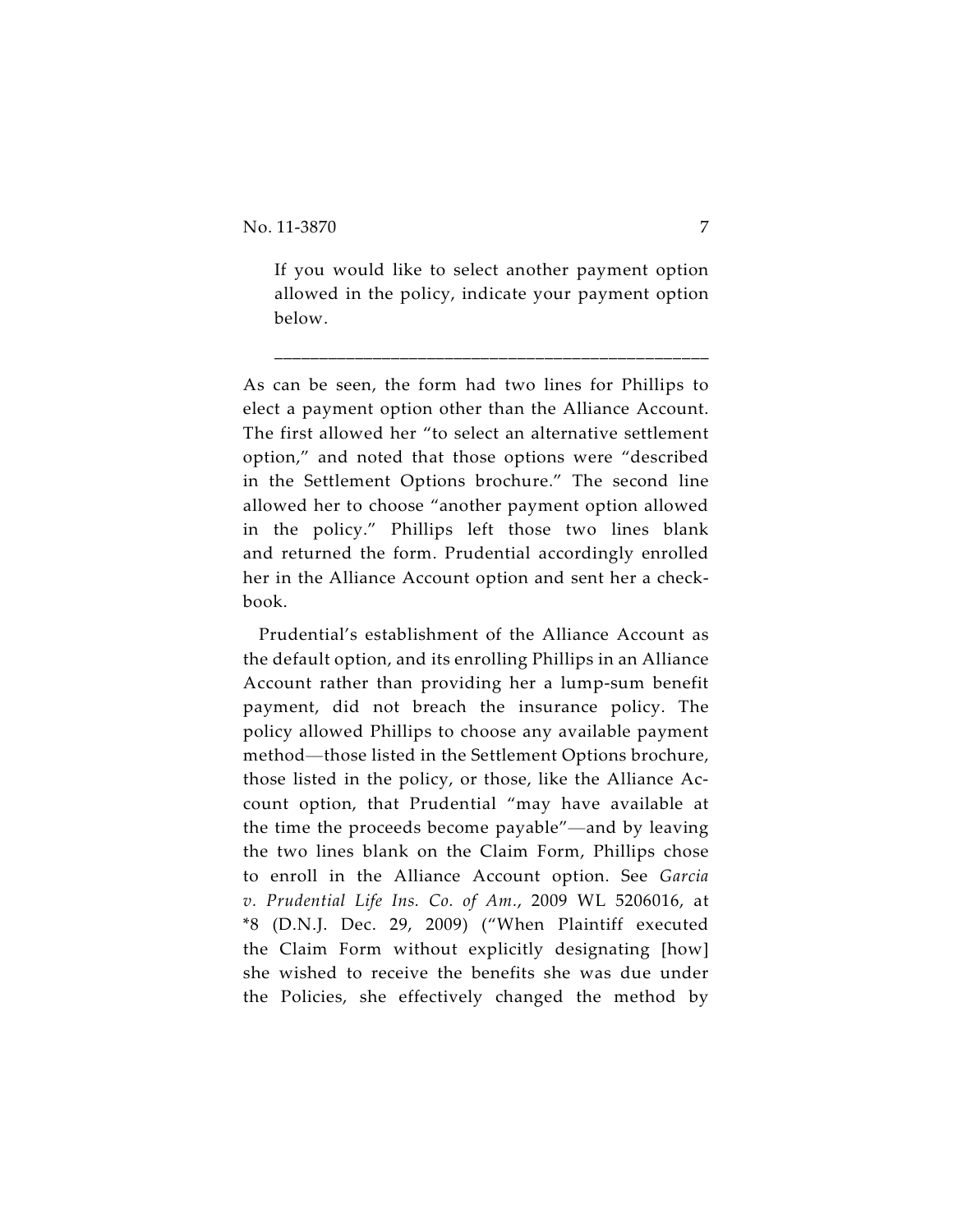If you would like to select another payment option allowed in the policy, indicate your payment option below.

\_\_\_\_\_\_\_\_\_\_\_\_\_\_\_\_\_\_\_\_\_\_\_\_\_\_\_\_\_\_\_\_\_\_\_\_\_\_\_\_\_\_\_\_\_\_\_\_

As can be seen, the form had two lines for Phillips to elect a payment option other than the Alliance Account. The first allowed her "to select an alternative settlement option," and noted that those options were "described in the Settlement Options brochure." The second line allowed her to choose "another payment option allowed in the policy." Phillips left those two lines blank and returned the form. Prudential accordingly enrolled her in the Alliance Account option and sent her a checkbook.

Prudential's establishment of the Alliance Account as the default option, and its enrolling Phillips in an Alliance Account rather than providing her a lump-sum benefit payment, did not breach the insurance policy. The policy allowed Phillips to choose any available payment method—those listed in the Settlement Options brochure, those listed in the policy, or those, like the Alliance Account option, that Prudential "may have available at the time the proceeds become payable"—and by leaving the two lines blank on the Claim Form, Phillips chose to enroll in the Alliance Account option. See *Garcia v. Prudential Life Ins. Co. of Am.*, 2009 WL 5206016, at \*8 (D.N.J. Dec. 29, 2009) ("When Plaintiff executed the Claim Form without explicitly designating [how] she wished to receive the benefits she was due under the Policies, she effectively changed the method by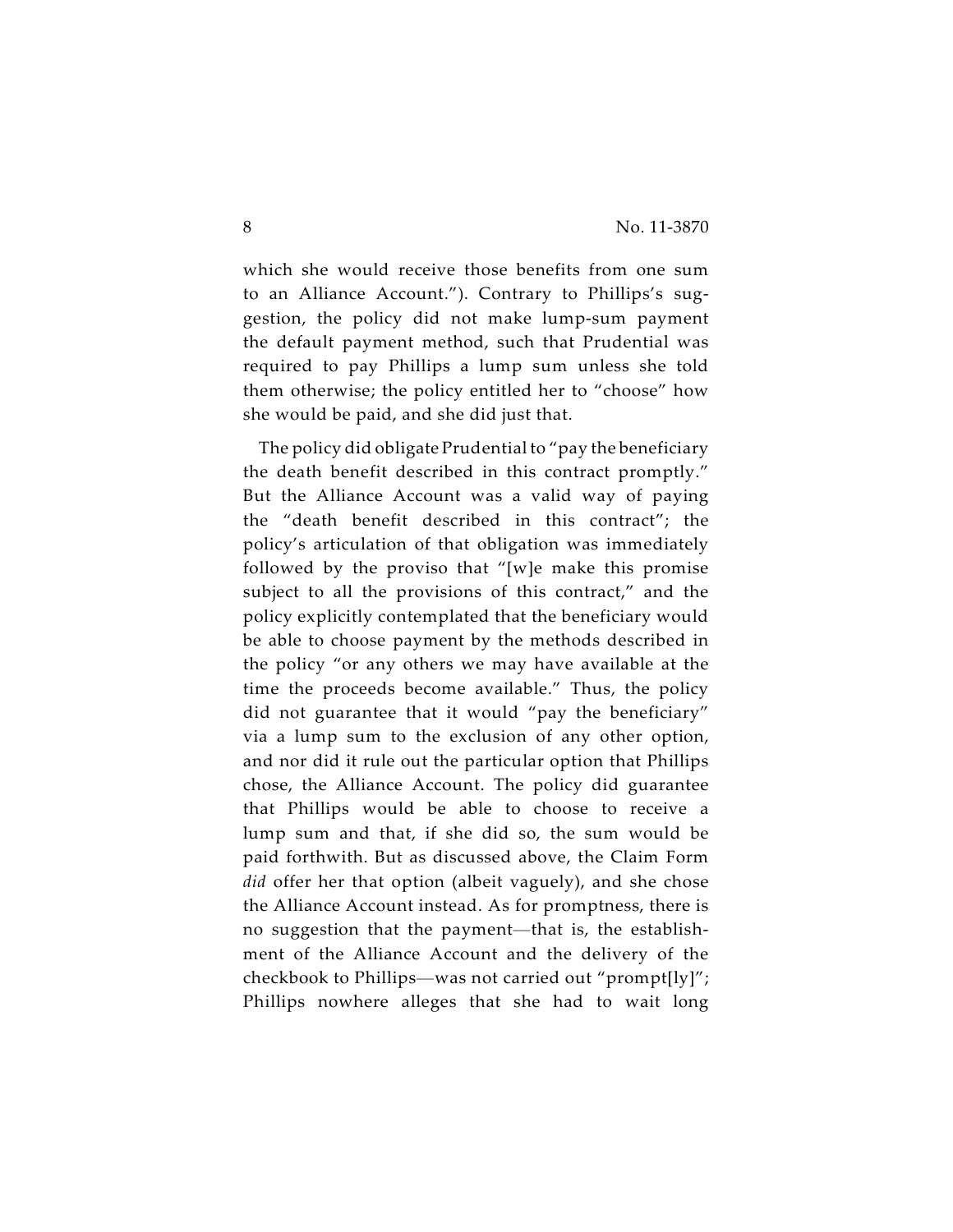which she would receive those benefits from one sum to an Alliance Account."). Contrary to Phillips's suggestion, the policy did not make lump-sum payment the default payment method, such that Prudential was required to pay Phillips a lump sum unless she told them otherwise; the policy entitled her to "choose" how she would be paid, and she did just that.

The policy did obligate Prudential to "pay the beneficiary the death benefit described in this contract promptly." But the Alliance Account was a valid way of paying the "death benefit described in this contract"; the policy's articulation of that obligation was immediately followed by the proviso that "[w]e make this promise subject to all the provisions of this contract," and the policy explicitly contemplated that the beneficiary would be able to choose payment by the methods described in the policy "or any others we may have available at the time the proceeds become available." Thus, the policy did not guarantee that it would "pay the beneficiary" via a lump sum to the exclusion of any other option, and nor did it rule out the particular option that Phillips chose, the Alliance Account. The policy did guarantee that Phillips would be able to choose to receive a lump sum and that, if she did so, the sum would be paid forthwith. But as discussed above, the Claim Form *did* offer her that option (albeit vaguely), and she chose the Alliance Account instead. As for promptness, there is no suggestion that the payment—that is, the establishment of the Alliance Account and the delivery of the checkbook to Phillips—was not carried out "prompt[ly]"; Phillips nowhere alleges that she had to wait long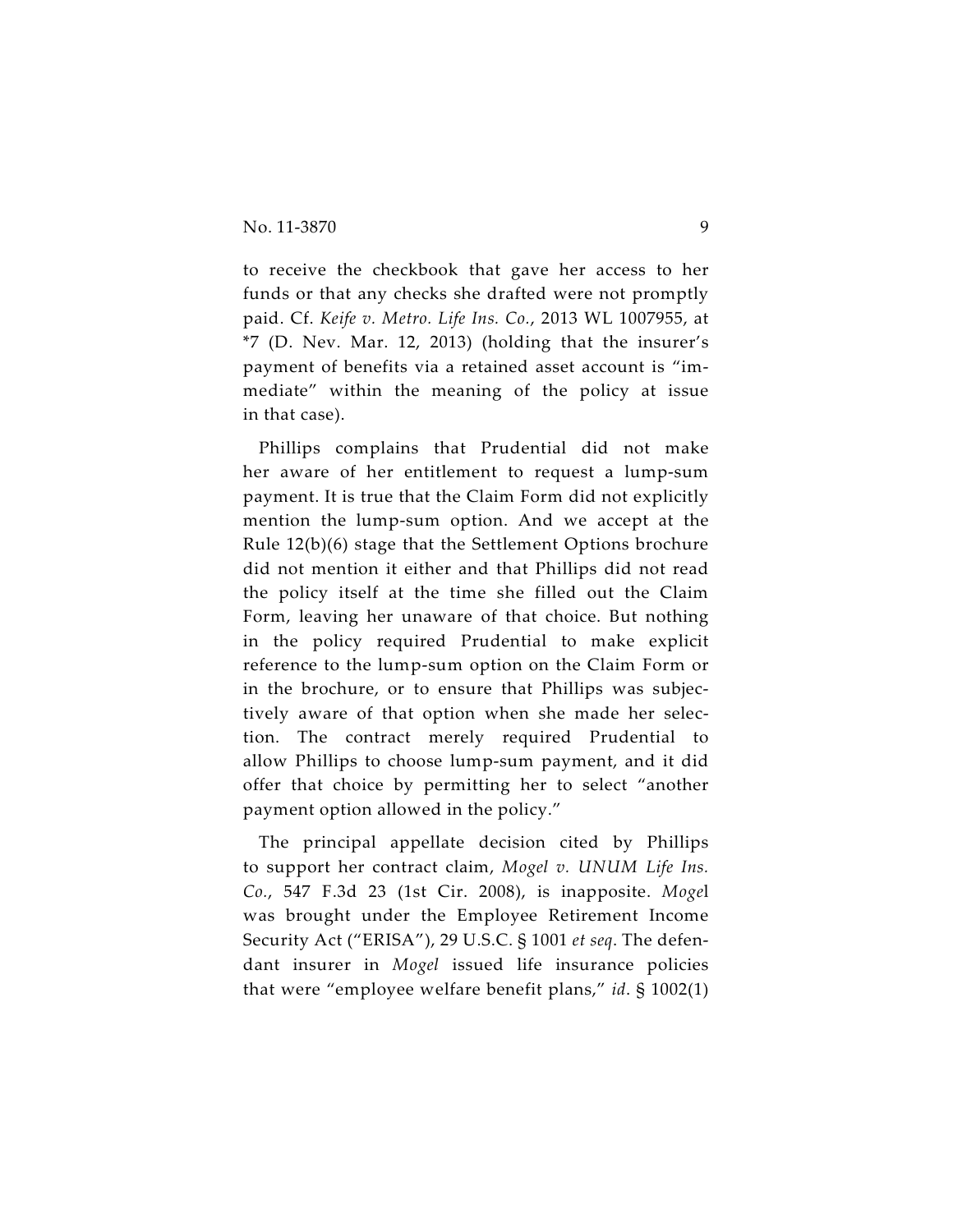to receive the checkbook that gave her access to her funds or that any checks she drafted were not promptly paid. Cf. *Keife v. Metro. Life Ins. Co.*, 2013 WL 1007955, at \*7 (D. Nev. Mar. 12, 2013) (holding that the insurer's payment of benefits via a retained asset account is "immediate" within the meaning of the policy at issue in that case).

Phillips complains that Prudential did not make her aware of her entitlement to request a lump-sum payment. It is true that the Claim Form did not explicitly mention the lump-sum option. And we accept at the Rule 12(b)(6) stage that the Settlement Options brochure did not mention it either and that Phillips did not read the policy itself at the time she filled out the Claim Form, leaving her unaware of that choice. But nothing in the policy required Prudential to make explicit reference to the lump-sum option on the Claim Form or in the brochure, or to ensure that Phillips was subjectively aware of that option when she made her selection. The contract merely required Prudential to allow Phillips to choose lump-sum payment, and it did offer that choice by permitting her to select "another payment option allowed in the policy."

The principal appellate decision cited by Phillips to support her contract claim, *Mogel v. UNUM Life Ins. Co.*, 547 F.3d 23 (1st Cir. 2008), is inapposite. *Moge*l was brought under the Employee Retirement Income Security Act ("ERISA"), 29 U.S.C. § 1001 *et seq*. The defendant insurer in *Mogel* issued life insurance policies that were "employee welfare benefit plans," *id*. § 1002(1)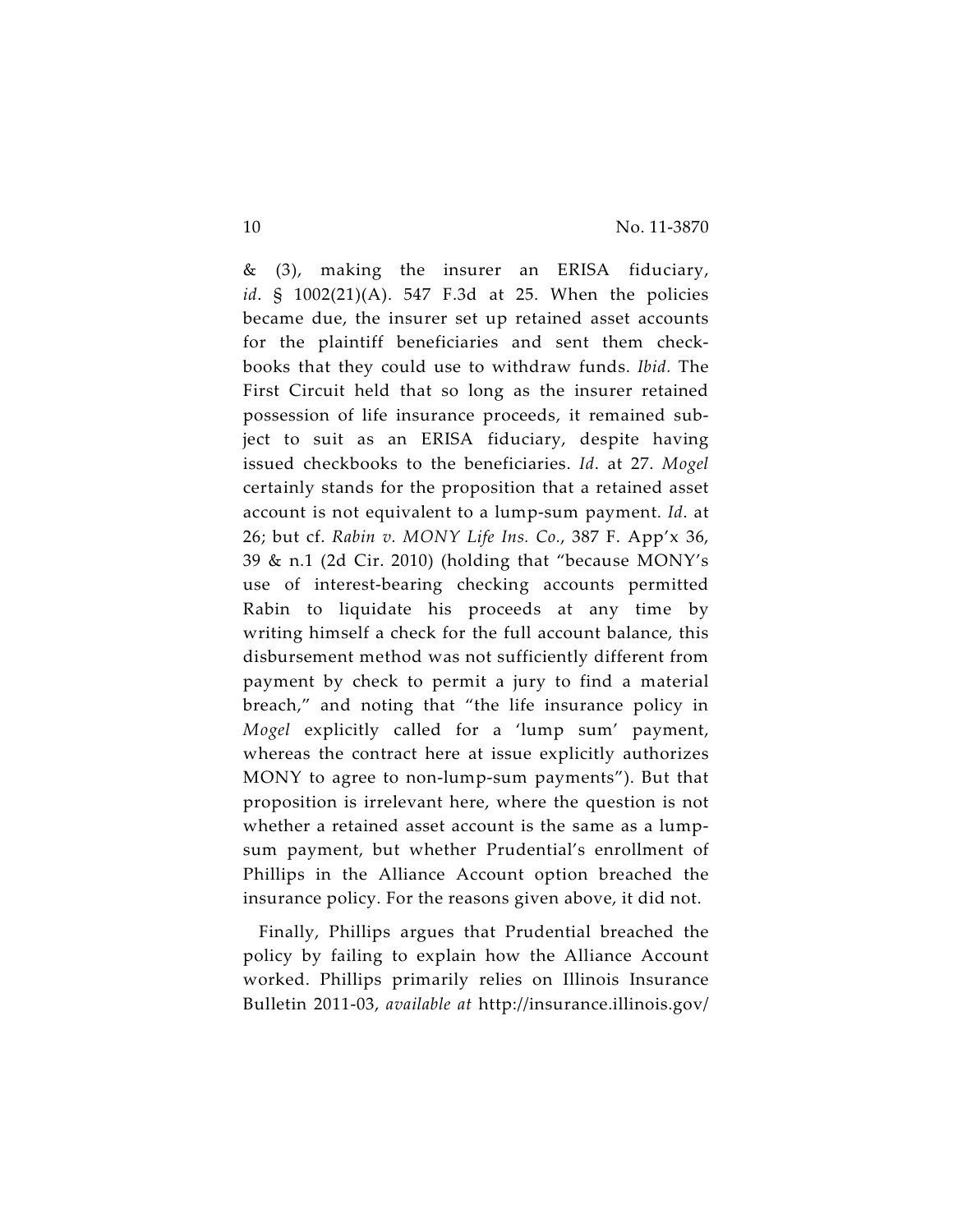& (3), making the insurer an ERISA fiduciary, *id*. § 1002(21)(A). 547 F.3d at 25. When the policies became due, the insurer set up retained asset accounts for the plaintiff beneficiaries and sent them checkbooks that they could use to withdraw funds. *Ibid.* The First Circuit held that so long as the insurer retained possession of life insurance proceeds, it remained subject to suit as an ERISA fiduciary, despite having issued checkbooks to the beneficiaries. *Id*. at 27. *Mogel* certainly stands for the proposition that a retained asset account is not equivalent to a lump-sum payment. *Id*. at 26; but cf. *Rabin v. MONY Life Ins. Co.*, 387 F. App'x 36, 39 & n.1 (2d Cir. 2010) (holding that "because MONY's use of interest-bearing checking accounts permitted Rabin to liquidate his proceeds at any time by writing himself a check for the full account balance, this disbursement method was not sufficiently different from payment by check to permit a jury to find a material breach," and noting that "the life insurance policy in *Mogel* explicitly called for a 'lump sum' payment, whereas the contract here at issue explicitly authorizes MONY to agree to non-lump-sum payments"). But that proposition is irrelevant here, where the question is not whether a retained asset account is the same as a lumpsum payment, but whether Prudential's enrollment of Phillips in the Alliance Account option breached the insurance policy. For the reasons given above, it did not.

Finally, Phillips argues that Prudential breached the policy by failing to explain how the Alliance Account worked. Phillips primarily relies on Illinois Insurance Bulletin 2011-03, *available at* http://insurance.illinois.gov/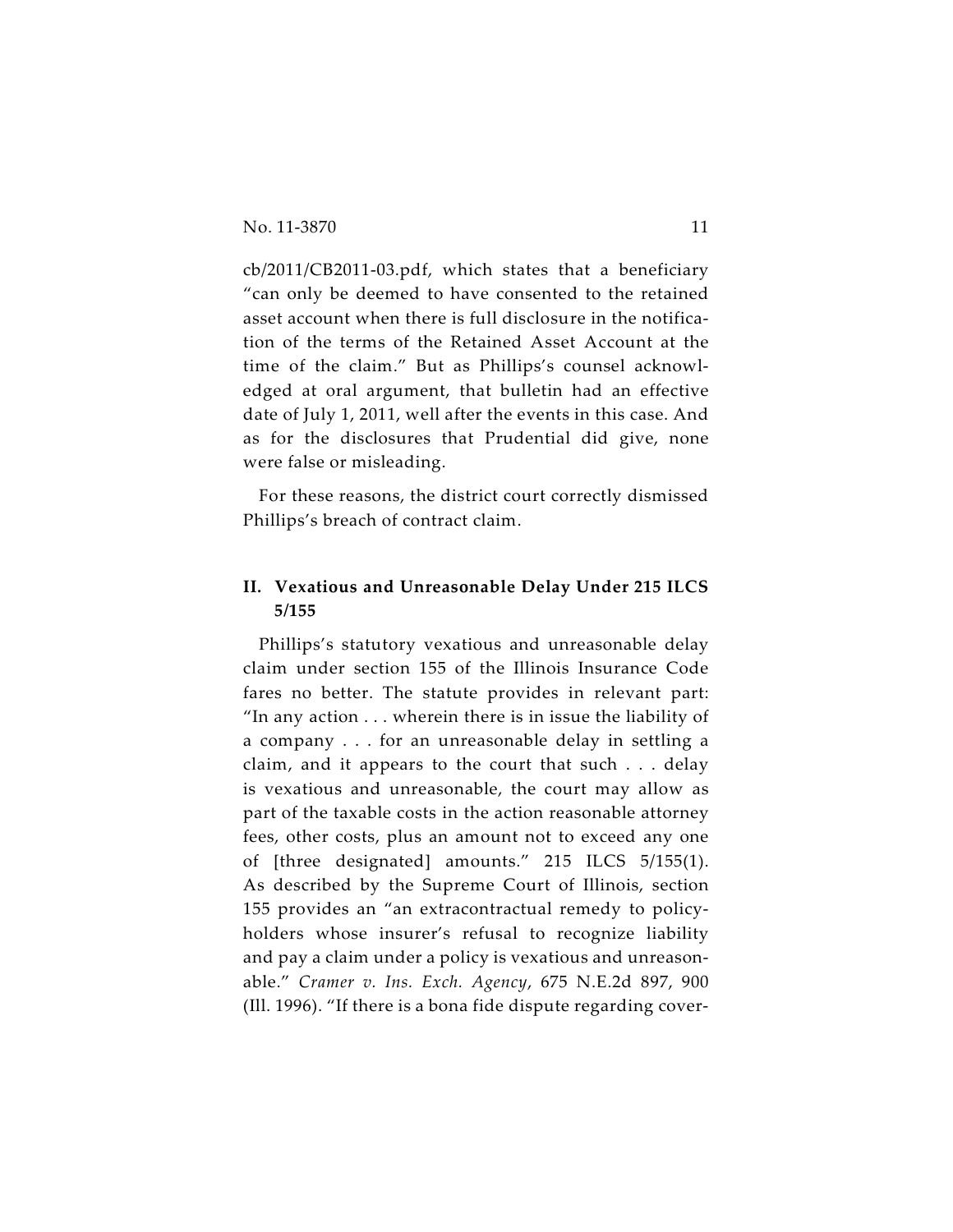cb/2011/CB2011-03.pdf, which states that a beneficiary "can only be deemed to have consented to the retained asset account when there is full disclosure in the notification of the terms of the Retained Asset Account at the time of the claim." But as Phillips's counsel acknowledged at oral argument, that bulletin had an effective date of July 1, 2011, well after the events in this case. And as for the disclosures that Prudential did give, none were false or misleading.

For these reasons, the district court correctly dismissed Phillips's breach of contract claim.

### **II. Vexatious and Unreasonable Delay Under 215 ILCS 5/155**

Phillips's statutory vexatious and unreasonable delay claim under section 155 of the Illinois Insurance Code fares no better. The statute provides in relevant part: "In any action . . . wherein there is in issue the liability of a company . . . for an unreasonable delay in settling a claim, and it appears to the court that such . . . delay is vexatious and unreasonable, the court may allow as part of the taxable costs in the action reasonable attorney fees, other costs, plus an amount not to exceed any one of [three designated] amounts." 215 ILCS 5/155(1). As described by the Supreme Court of Illinois, section 155 provides an "an extracontractual remedy to policyholders whose insurer's refusal to recognize liability and pay a claim under a policy is vexatious and unreasonable." *Cramer v. Ins. Exch. Agency*, 675 N.E.2d 897, 900 (Ill. 1996). "If there is a bona fide dispute regarding cover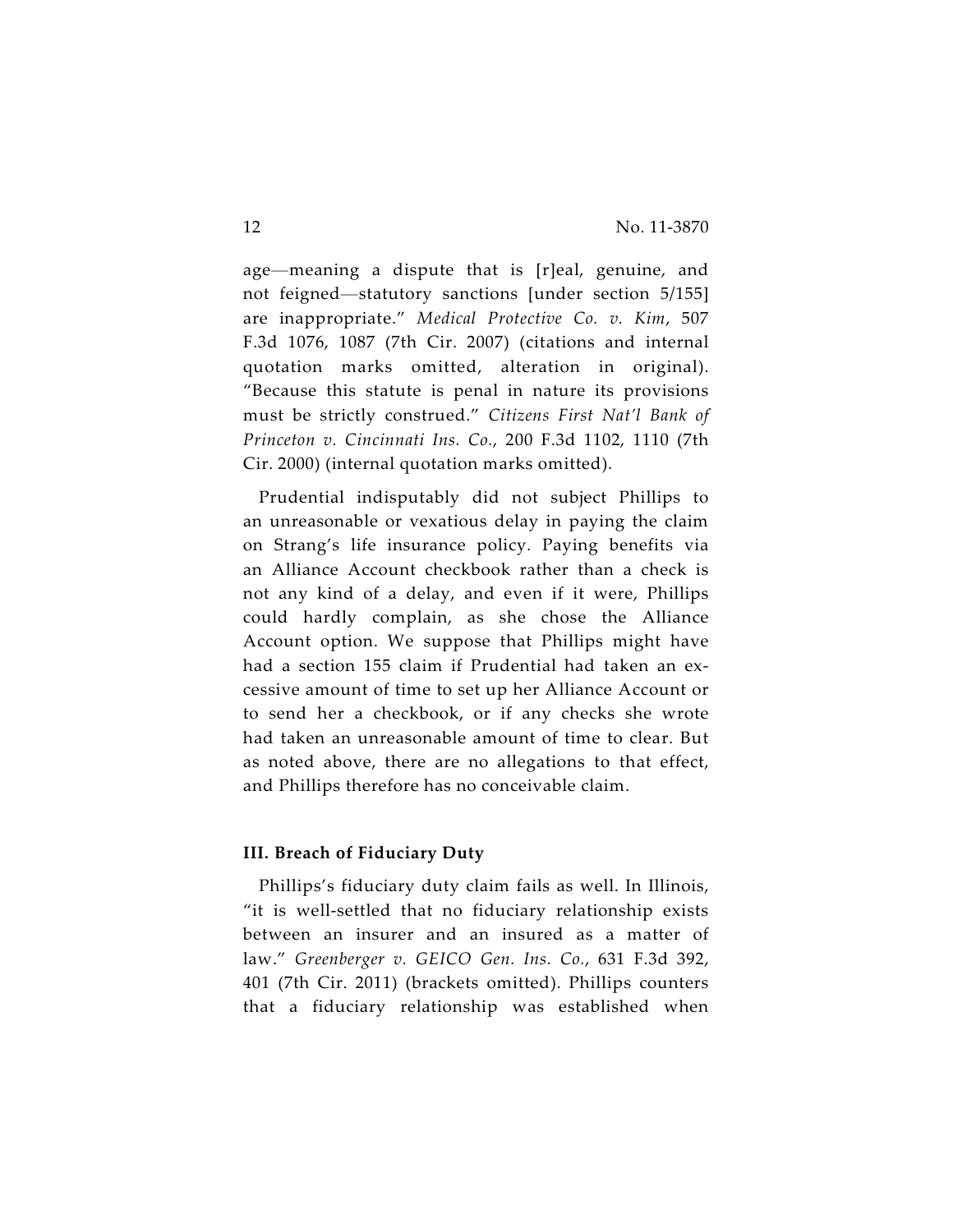age—meaning a dispute that is [r]eal, genuine, and not feigned—statutory sanctions [under section 5/155] are inappropriate." *Medical Protective Co. v. Kim*, 507 F.3d 1076, 1087 (7th Cir. 2007) (citations and internal quotation marks omitted, alteration in original). "Because this statute is penal in nature its provisions must be strictly construed." *Citizens First Nat'l Bank of Princeton v. Cincinnati Ins. Co.*, 200 F.3d 1102, 1110 (7th Cir. 2000) (internal quotation marks omitted).

Prudential indisputably did not subject Phillips to an unreasonable or vexatious delay in paying the claim on Strang's life insurance policy. Paying benefits via an Alliance Account checkbook rather than a check is not any kind of a delay, and even if it were, Phillips could hardly complain, as she chose the Alliance Account option. We suppose that Phillips might have had a section 155 claim if Prudential had taken an excessive amount of time to set up her Alliance Account or to send her a checkbook, or if any checks she wrote had taken an unreasonable amount of time to clear. But as noted above, there are no allegations to that effect, and Phillips therefore has no conceivable claim.

#### **III. Breach of Fiduciary Duty**

Phillips's fiduciary duty claim fails as well. In Illinois, "it is well-settled that no fiduciary relationship exists between an insurer and an insured as a matter of law." *Greenberger v. GEICO Gen. Ins. Co.*, 631 F.3d 392, 401 (7th Cir. 2011) (brackets omitted). Phillips counters that a fiduciary relationship was established when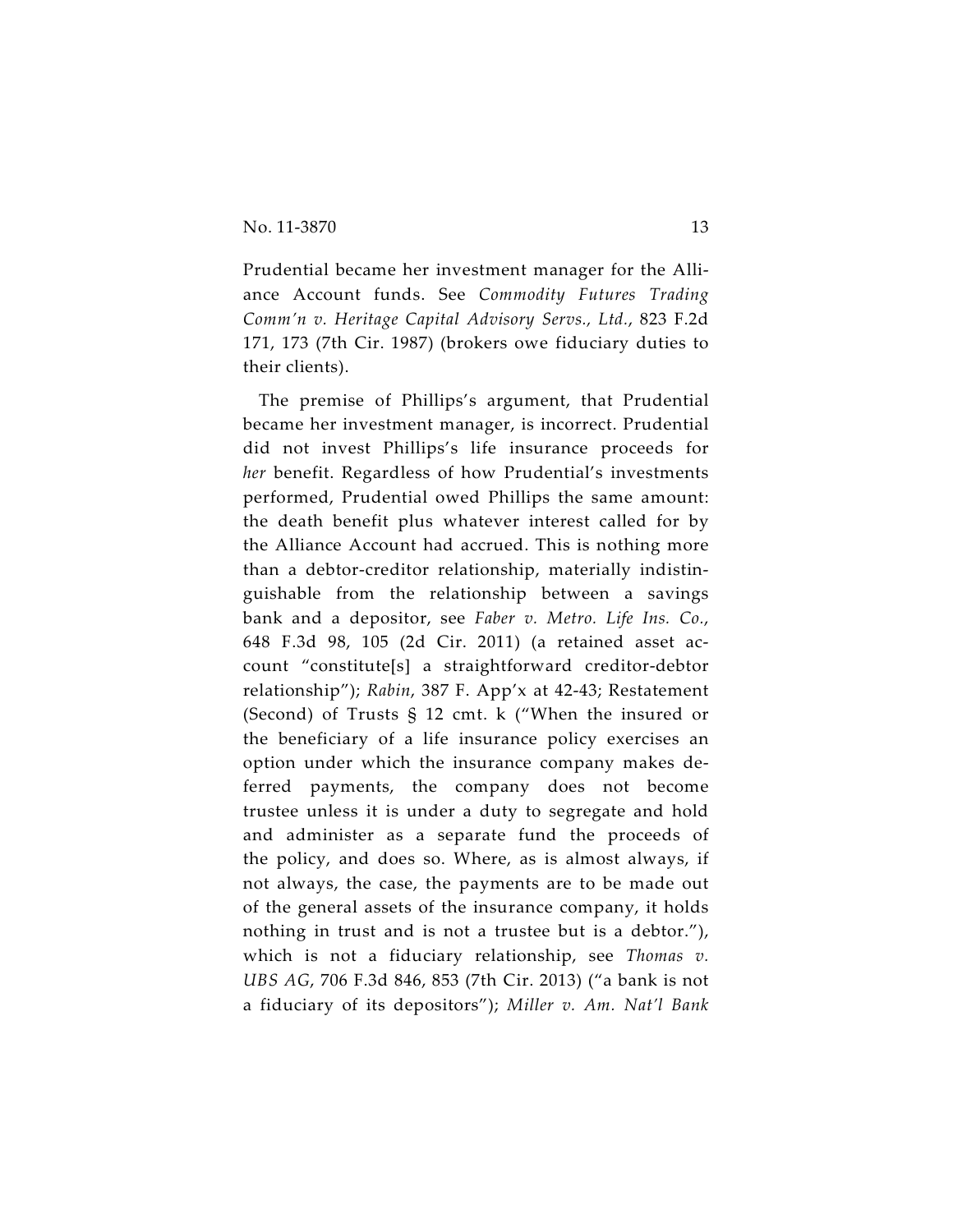Prudential became her investment manager for the Alliance Account funds. See *Commodity Futures Trading Comm'n v. Heritage Capital Advisory Servs., Ltd.*, 823 F.2d 171, 173 (7th Cir. 1987) (brokers owe fiduciary duties to their clients).

The premise of Phillips's argument, that Prudential became her investment manager, is incorrect. Prudential did not invest Phillips's life insurance proceeds for *her* benefit. Regardless of how Prudential's investments performed, Prudential owed Phillips the same amount: the death benefit plus whatever interest called for by the Alliance Account had accrued. This is nothing more than a debtor-creditor relationship, materially indistinguishable from the relationship between a savings bank and a depositor, see *Faber v. Metro. Life Ins. Co.*, 648 F.3d 98, 105 (2d Cir. 2011) (a retained asset account "constitute[s] a straightforward creditor-debtor relationship"); *Rabin*, 387 F. App'x at 42-43; Restatement (Second) of Trusts § 12 cmt. k ("When the insured or the beneficiary of a life insurance policy exercises an option under which the insurance company makes deferred payments, the company does not become trustee unless it is under a duty to segregate and hold and administer as a separate fund the proceeds of the policy, and does so. Where, as is almost always, if not always, the case, the payments are to be made out of the general assets of the insurance company, it holds nothing in trust and is not a trustee but is a debtor."), which is not a fiduciary relationship, see *Thomas v. UBS AG*, 706 F.3d 846, 853 (7th Cir. 2013) ("a bank is not a fiduciary of its depositors"); *Miller v. Am. Nat'l Bank*